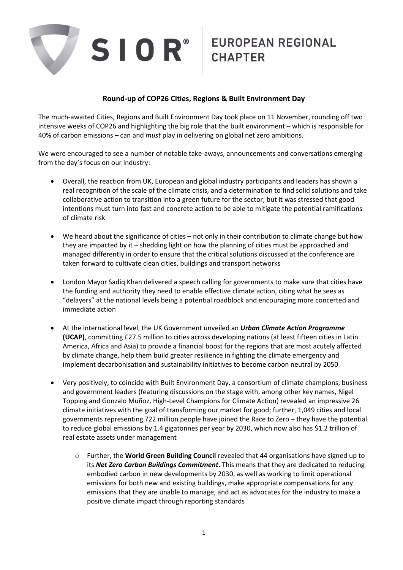

## **Round-up of COP26 Cities, Regions & Built Environment Day**

The much-awaited Cities, Regions and Built Environment Day took place on 11 November, rounding off two intensive weeks of COP26 and highlighting the big role that the built environment – which is responsible for 40% of carbon emissions – can and *must* play in delivering on global net zero ambitions.

We were encouraged to see a number of notable take-aways, announcements and conversations emerging from the day's focus on our industry:

- Overall, the reaction from UK, European and global industry participants and leaders has shown a real recognition of the scale of the climate crisis, and a determination to find solid solutions and take collaborative action to transition into a green future for the sector; but it was stressed that good intentions must turn into fast and concrete action to be able to mitigate the potential ramifications of climate risk
- We heard about the significance of cities not only in their contribution to climate change but how they are impacted by it – shedding light on how the planning of cities must be approached and managed differently in order to ensure that the critical solutions discussed at the conference are taken forward to cultivate clean cities, buildings and transport networks
- London Mayor Sadiq Khan delivered a speech calling for governments to make sure that cities have the funding and authority they need to enable effective climate action, citing what he sees as "delayers" at the national levels being a potential roadblock and encouraging more concerted and immediate action
- At the international level, the UK Government unveiled an *Urban Climate Action Programme* **(UCAP)**, committing £27.5 million to cities across developing nations (at least fifteen cities in Latin America, Africa and Asia) to provide a financial boost for the regions that are most acutely affected by climate change, help them build greater resilience in fighting the climate emergency and implement decarbonisation and sustainability initiatives to become carbon neutral by 2050
- Very positively, to coincide with Built Environment Day, a consortium of climate champions, business and government leaders (featuring discussions on the stage with, among other key names, Nigel Topping and Gonzalo Muñoz, High-Level Champions for Climate Action) revealed an impressive 26 climate initiatives with the goal of transforming our market for good; further, 1,049 cities and local governments representing 722 million people have joined the Race to Zero – they have the potential to reduce global emissions by 1.4 gigatonnes per year by 2030, which now also has \$1.2 trillion of real estate assets under management
	- o Further, the **World Green Building Council** revealed that 44 organisations have signed up to its *Net Zero Carbon Buildings Commitment***.** This means that they are dedicated to reducing embodied carbon in new developments by 2030, as well as working to limit operational emissions for both new and existing buildings, make appropriate compensations for any emissions that they are unable to manage, and act as advocates for the industry to make a positive climate impact through reporting standards